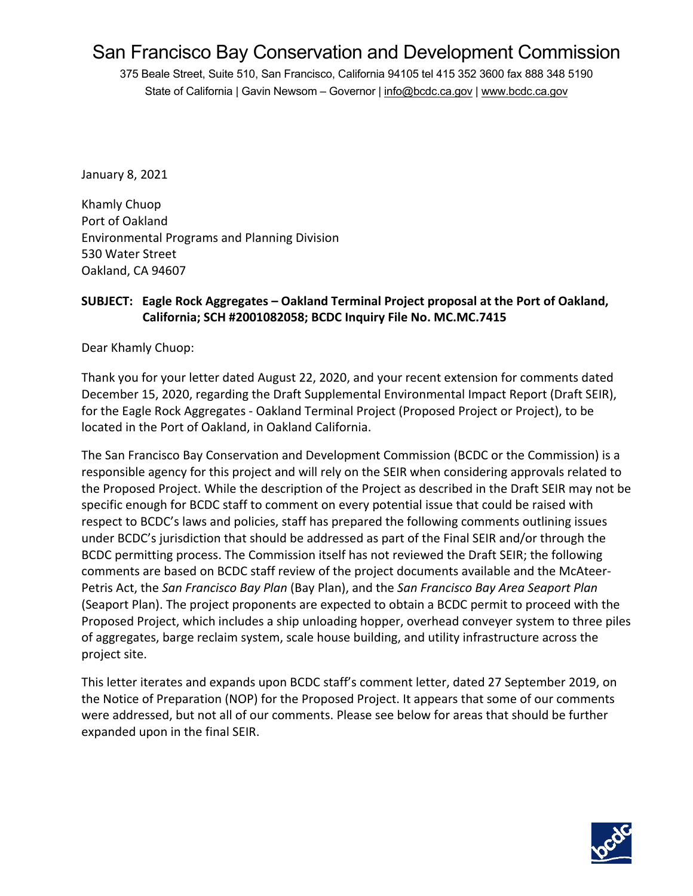# San Francisco Bay Conservation and Development Commission

375 Beale Street, Suite 510, San Francisco, California 94105 tel 415 352 3600 fax 888 348 5190 State of California | Gavin Newsom - Governor [| info@bcdc.ca.gov](mailto:info@bcdc.ca.gov) | [www.bcdc.ca.gov](https://www.bcdc.ca.gov/)

January 8, 2021

Khamly Chuop Port of Oakland Environmental Programs and Planning Division 530 Water Street Oakland, CA 94607

## **SUBJECT: Eagle Rock Aggregates – Oakland Terminal Project proposal at the Port of Oakland, California; SCH #2001082058; BCDC Inquiry File No. MC.MC.7415**

Dear Khamly Chuop:

Thank you for your letter dated August 22, 2020, and your recent extension for comments dated December 15, 2020, regarding the Draft Supplemental Environmental Impact Report (Draft SEIR), for the Eagle Rock Aggregates - Oakland Terminal Project (Proposed Project or Project), to be located in the Port of Oakland, in Oakland California.

The San Francisco Bay Conservation and Development Commission (BCDC or the Commission) is a responsible agency for this project and will rely on the SEIR when considering approvals related to the Proposed Project. While the description of the Project as described in the Draft SEIR may not be specific enough for BCDC staff to comment on every potential issue that could be raised with respect to BCDC's laws and policies, staff has prepared the following comments outlining issues under BCDC's jurisdiction that should be addressed as part of the Final SEIR and/or through the BCDC permitting process. The Commission itself has not reviewed the Draft SEIR; the following comments are based on BCDC staff review of the project documents available and the McAteer-Petris Act, the *San Francisco Bay Plan* (Bay Plan), and the *San Francisco Bay Area Seaport Plan* (Seaport Plan). The project proponents are expected to obtain a BCDC permit to proceed with the Proposed Project, which includes a ship unloading hopper, overhead conveyer system to three piles of aggregates, barge reclaim system, scale house building, and utility infrastructure across the project site.

This letter iterates and expands upon BCDC staff's comment letter, dated 27 September 2019, on the Notice of Preparation (NOP) for the Proposed Project. It appears that some of our comments were addressed, but not all of our comments. Please see below for areas that should be further expanded upon in the final SEIR.

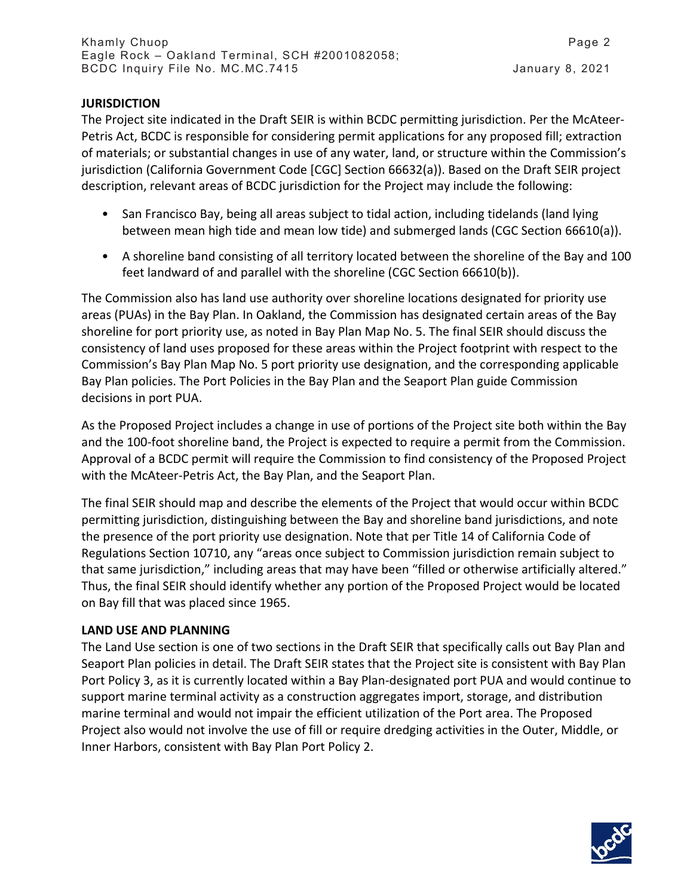#### **JURISDICTION**

The Project site indicated in the Draft SEIR is within BCDC permitting jurisdiction. Per the McAteer-Petris Act, BCDC is responsible for considering permit applications for any proposed fill; extraction of materials; or substantial changes in use of any water, land, or structure within the Commission's jurisdiction (California Government Code [CGC] Section 66632(a)). Based on the Draft SEIR project description, relevant areas of BCDC jurisdiction for the Project may include the following:

- San Francisco Bay, being all areas subject to tidal action, including tidelands (land lying between mean high tide and mean low tide) and submerged lands (CGC Section 66610(a)).
- A shoreline band consisting of all territory located between the shoreline of the Bay and 100 feet landward of and parallel with the shoreline (CGC Section 66610(b)).

The Commission also has land use authority over shoreline locations designated for priority use areas (PUAs) in the Bay Plan. In Oakland, the Commission has designated certain areas of the Bay shoreline for port priority use, as noted in Bay Plan Map No. 5. The final SEIR should discuss the consistency of land uses proposed for these areas within the Project footprint with respect to the Commission's Bay Plan Map No. 5 port priority use designation, and the corresponding applicable Bay Plan policies. The Port Policies in the Bay Plan and the Seaport Plan guide Commission decisions in port PUA.

As the Proposed Project includes a change in use of portions of the Project site both within the Bay and the 100-foot shoreline band, the Project is expected to require a permit from the Commission. Approval of a BCDC permit will require the Commission to find consistency of the Proposed Project with the McAteer-Petris Act, the Bay Plan, and the Seaport Plan.

The final SEIR should map and describe the elements of the Project that would occur within BCDC permitting jurisdiction, distinguishing between the Bay and shoreline band jurisdictions, and note the presence of the port priority use designation. Note that per Title 14 of California Code of Regulations Section 10710, any "areas once subject to Commission jurisdiction remain subject to that same jurisdiction," including areas that may have been "filled or otherwise artificially altered." Thus, the final SEIR should identify whether any portion of the Proposed Project would be located on Bay fill that was placed since 1965.

## **LAND USE AND PLANNING**

The Land Use section is one of two sections in the Draft SEIR that specifically calls out Bay Plan and Seaport Plan policies in detail. The Draft SEIR states that the Project site is consistent with Bay Plan Port Policy 3, as it is currently located within a Bay Plan-designated port PUA and would continue to support marine terminal activity as a construction aggregates import, storage, and distribution marine terminal and would not impair the efficient utilization of the Port area. The Proposed Project also would not involve the use of fill or require dredging activities in the Outer, Middle, or Inner Harbors, consistent with Bay Plan Port Policy 2.

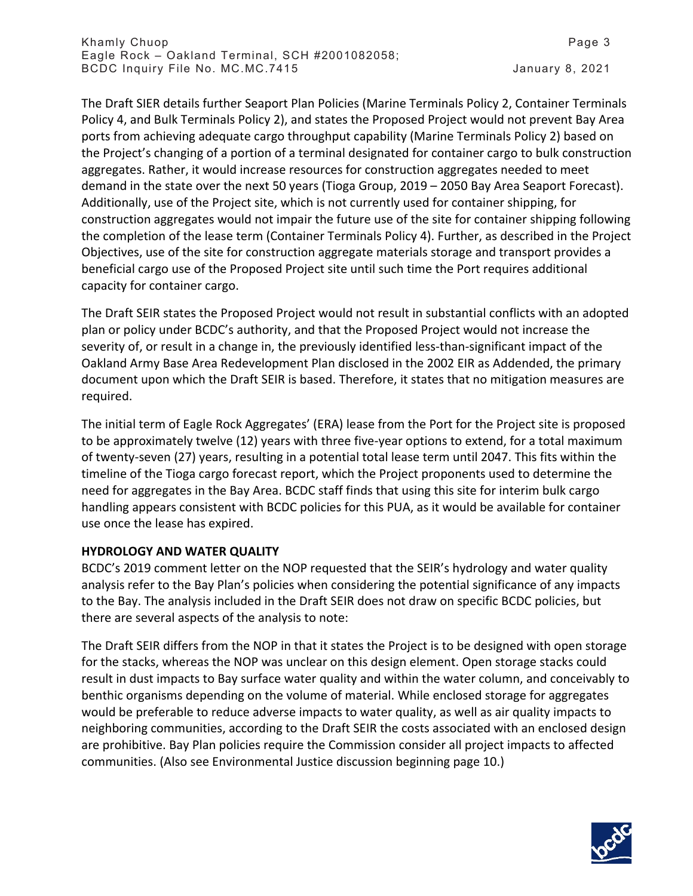The Draft SIER details further Seaport Plan Policies (Marine Terminals Policy 2, Container Terminals Policy 4, and Bulk Terminals Policy 2), and states the Proposed Project would not prevent Bay Area ports from achieving adequate cargo throughput capability (Marine Terminals Policy 2) based on the Project's changing of a portion of a terminal designated for container cargo to bulk construction aggregates. Rather, it would increase resources for construction aggregates needed to meet demand in the state over the next 50 years (Tioga Group, 2019 – 2050 Bay Area Seaport Forecast). Additionally, use of the Project site, which is not currently used for container shipping, for construction aggregates would not impair the future use of the site for container shipping following the completion of the lease term (Container Terminals Policy 4). Further, as described in the Project Objectives, use of the site for construction aggregate materials storage and transport provides a beneficial cargo use of the Proposed Project site until such time the Port requires additional capacity for container cargo.

The Draft SEIR states the Proposed Project would not result in substantial conflicts with an adopted plan or policy under BCDC's authority, and that the Proposed Project would not increase the severity of, or result in a change in, the previously identified less-than-significant impact of the Oakland Army Base Area Redevelopment Plan disclosed in the 2002 EIR as Addended, the primary document upon which the Draft SEIR is based. Therefore, it states that no mitigation measures are required.

The initial term of Eagle Rock Aggregates' (ERA) lease from the Port for the Project site is proposed to be approximately twelve (12) years with three five-year options to extend, for a total maximum of twenty-seven (27) years, resulting in a potential total lease term until 2047. This fits within the timeline of the Tioga cargo forecast report, which the Project proponents used to determine the need for aggregates in the Bay Area. BCDC staff finds that using this site for interim bulk cargo handling appears consistent with BCDC policies for this PUA, as it would be available for container use once the lease has expired.

## **HYDROLOGY AND WATER QUALITY**

BCDC's 2019 comment letter on the NOP requested that the SEIR's hydrology and water quality analysis refer to the Bay Plan's policies when considering the potential significance of any impacts to the Bay. The analysis included in the Draft SEIR does not draw on specific BCDC policies, but there are several aspects of the analysis to note:

The Draft SEIR differs from the NOP in that it states the Project is to be designed with open storage for the stacks, whereas the NOP was unclear on this design element. Open storage stacks could result in dust impacts to Bay surface water quality and within the water column, and conceivably to benthic organisms depending on the volume of material. While enclosed storage for aggregates would be preferable to reduce adverse impacts to water quality, as well as air quality impacts to neighboring communities, according to the Draft SEIR the costs associated with an enclosed design are prohibitive. Bay Plan policies require the Commission consider all project impacts to affected communities. (Also see Environmental Justice discussion beginning page 10.)

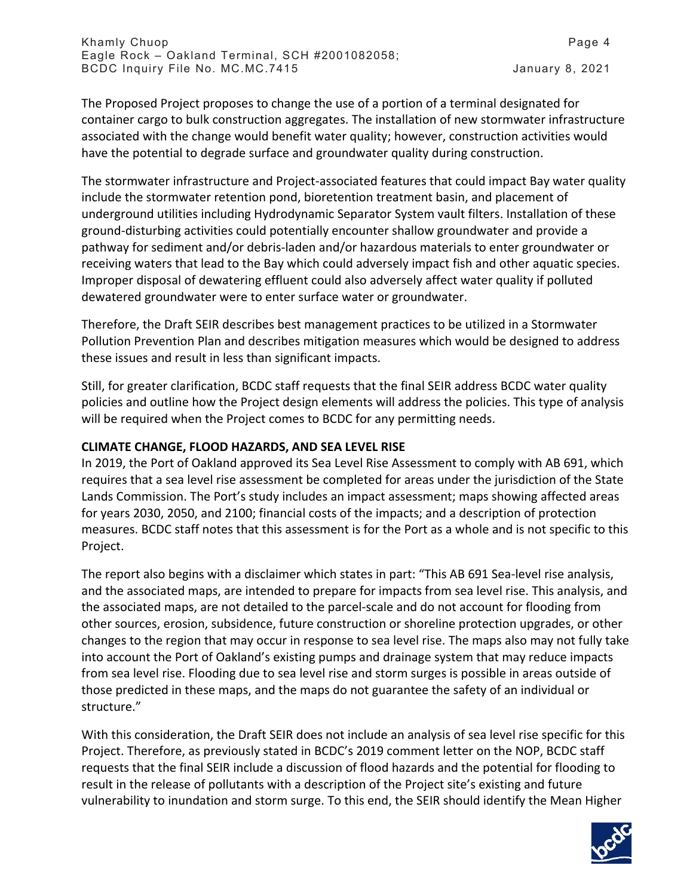The Proposed Project proposes to change the use of a portion of a terminal designated for container cargo to bulk construction aggregates. The installation of new stormwater infrastructure associated with the change would benefit water quality; however, construction activities would have the potential to degrade surface and groundwater quality during construction.

The stormwater infrastructure and Project-associated features that could impact Bay water quality include the stormwater retention pond, bioretention treatment basin, and placement of underground utilities including Hydrodynamic Separator System vault filters. Installation of these ground-disturbing activities could potentially encounter shallow groundwater and provide a pathway for sediment and/or debris-laden and/or hazardous materials to enter groundwater or receiving waters that lead to the Bay which could adversely impact fish and other aquatic species. Improper disposal of dewatering effluent could also adversely affect water quality if polluted dewatered groundwater were to enter surface water or groundwater.

Therefore, the Draft SEIR describes best management practices to be utilized in a Stormwater Pollution Prevention Plan and describes mitigation measures which would be designed to address these issues and result in less than significant impacts.

Still, for greater clarification, BCDC staff requests that the final SEIR address BCDC water quality policies and outline how the Project design elements will address the policies. This type of analysis will be required when the Project comes to BCDC for any permitting needs.

## **CLIMATE CHANGE, FLOOD HAZARDS, AND SEA LEVEL RISE**

In 2019, the Port of Oakland approved its Sea Level Rise Assessment to comply with AB 691, which requires that a sea level rise assessment be completed for areas under the jurisdiction of the State Lands Commission. The Port's study includes an impact assessment; maps showing affected areas for years 2030, 2050, and 2100; financial costs of the impacts; and a description of protection measures. BCDC staff notes that this assessment is for the Port as a whole and is not specific to this Project.

The report also begins with a disclaimer which states in part: "This AB 691 Sea-level rise analysis, and the associated maps, are intended to prepare for impacts from sea level rise. This analysis, and the associated maps, are not detailed to the parcel-scale and do not account for flooding from other sources, erosion, subsidence, future construction or shoreline protection upgrades, or other changes to the region that may occur in response to sea level rise. The maps also may not fully take into account the Port of Oakland's existing pumps and drainage system that may reduce impacts from sea level rise. Flooding due to sea level rise and storm surges is possible in areas outside of those predicted in these maps, and the maps do not guarantee the safety of an individual or structure."

With this consideration, the Draft SEIR does not include an analysis of sea level rise specific for this Project. Therefore, as previously stated in BCDC's 2019 comment letter on the NOP, BCDC staff requests that the final SEIR include a discussion of flood hazards and the potential for flooding to result in the release of pollutants with a description of the Project site's existing and future vulnerability to inundation and storm surge. To this end, the SEIR should identify the Mean Higher

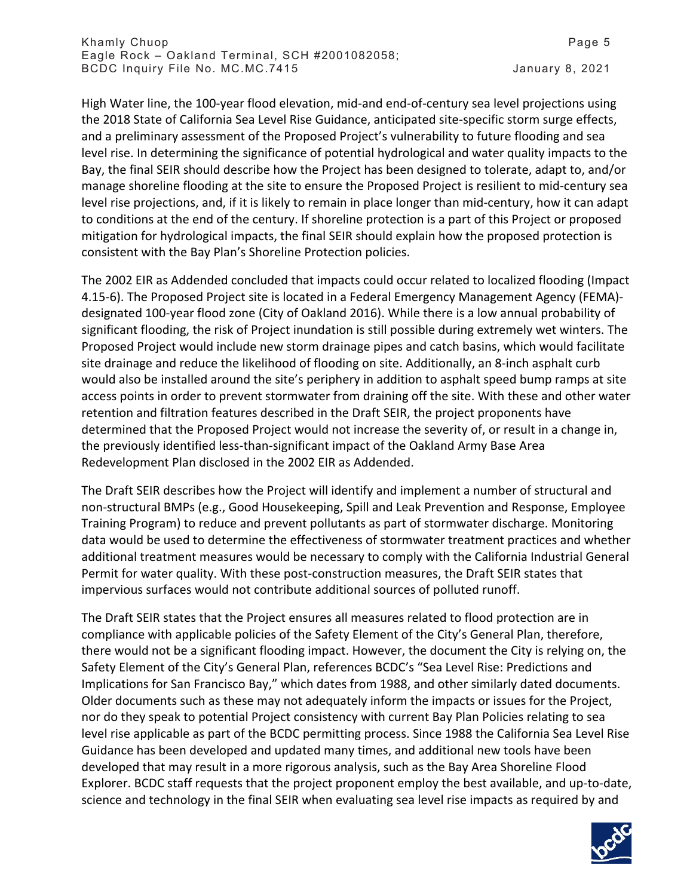High Water line, the 100-year flood elevation, mid-and end-of-century sea level projections using the 2018 State of California Sea Level Rise Guidance, anticipated site-specific storm surge effects, and a preliminary assessment of the Proposed Project's vulnerability to future flooding and sea level rise. In determining the significance of potential hydrological and water quality impacts to the Bay, the final SEIR should describe how the Project has been designed to tolerate, adapt to, and/or manage shoreline flooding at the site to ensure the Proposed Project is resilient to mid-century sea level rise projections, and, if it is likely to remain in place longer than mid-century, how it can adapt to conditions at the end of the century. If shoreline protection is a part of this Project or proposed mitigation for hydrological impacts, the final SEIR should explain how the proposed protection is consistent with the Bay Plan's Shoreline Protection policies.

The 2002 EIR as Addended concluded that impacts could occur related to localized flooding (Impact 4.15-6). The Proposed Project site is located in a Federal Emergency Management Agency (FEMA) designated 100-year flood zone (City of Oakland 2016). While there is a low annual probability of significant flooding, the risk of Project inundation is still possible during extremely wet winters. The Proposed Project would include new storm drainage pipes and catch basins, which would facilitate site drainage and reduce the likelihood of flooding on site. Additionally, an 8-inch asphalt curb would also be installed around the site's periphery in addition to asphalt speed bump ramps at site access points in order to prevent stormwater from draining off the site. With these and other water retention and filtration features described in the Draft SEIR, the project proponents have determined that the Proposed Project would not increase the severity of, or result in a change in, the previously identified less-than-significant impact of the Oakland Army Base Area Redevelopment Plan disclosed in the 2002 EIR as Addended.

The Draft SEIR describes how the Project will identify and implement a number of structural and non-structural BMPs (e.g., Good Housekeeping, Spill and Leak Prevention and Response, Employee Training Program) to reduce and prevent pollutants as part of stormwater discharge. Monitoring data would be used to determine the effectiveness of stormwater treatment practices and whether additional treatment measures would be necessary to comply with the California Industrial General Permit for water quality. With these post-construction measures, the Draft SEIR states that impervious surfaces would not contribute additional sources of polluted runoff.

The Draft SEIR states that the Project ensures all measures related to flood protection are in compliance with applicable policies of the Safety Element of the City's General Plan, therefore, there would not be a significant flooding impact. However, the document the City is relying on, the Safety Element of the City's General Plan, references BCDC's "Sea Level Rise: Predictions and Implications for San Francisco Bay," which dates from 1988, and other similarly dated documents. Older documents such as these may not adequately inform the impacts or issues for the Project, nor do they speak to potential Project consistency with current Bay Plan Policies relating to sea level rise applicable as part of the BCDC permitting process. Since 1988 the California Sea Level Rise Guidance has been developed and updated many times, and additional new tools have been developed that may result in a more rigorous analysis, such as the Bay Area Shoreline Flood Explorer. BCDC staff requests that the project proponent employ the best available, and up-to-date, science and technology in the final SEIR when evaluating sea level rise impacts as required by and

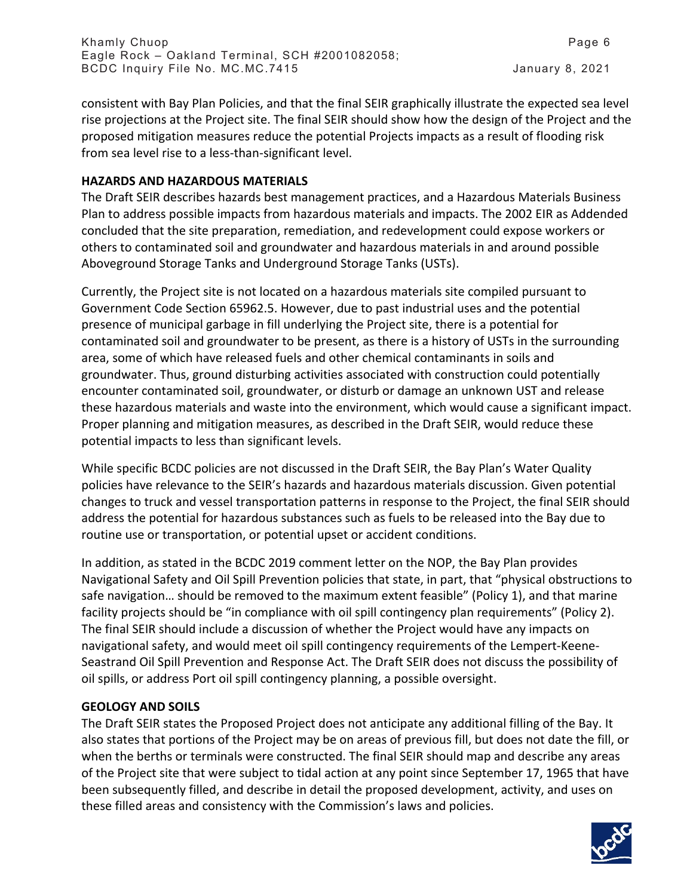consistent with Bay Plan Policies, and that the final SEIR graphically illustrate the expected sea level rise projections at the Project site. The final SEIR should show how the design of the Project and the proposed mitigation measures reduce the potential Projects impacts as a result of flooding risk from sea level rise to a less-than-significant level.

## **HAZARDS AND HAZARDOUS MATERIALS**

The Draft SEIR describes hazards best management practices, and a Hazardous Materials Business Plan to address possible impacts from hazardous materials and impacts. The 2002 EIR as Addended concluded that the site preparation, remediation, and redevelopment could expose workers or others to contaminated soil and groundwater and hazardous materials in and around possible Aboveground Storage Tanks and Underground Storage Tanks (USTs).

Currently, the Project site is not located on a hazardous materials site compiled pursuant to Government Code Section 65962.5. However, due to past industrial uses and the potential presence of municipal garbage in fill underlying the Project site, there is a potential for contaminated soil and groundwater to be present, as there is a history of USTs in the surrounding area, some of which have released fuels and other chemical contaminants in soils and groundwater. Thus, ground disturbing activities associated with construction could potentially encounter contaminated soil, groundwater, or disturb or damage an unknown UST and release these hazardous materials and waste into the environment, which would cause a significant impact. Proper planning and mitigation measures, as described in the Draft SEIR, would reduce these potential impacts to less than significant levels.

While specific BCDC policies are not discussed in the Draft SEIR, the Bay Plan's Water Quality policies have relevance to the SEIR's hazards and hazardous materials discussion. Given potential changes to truck and vessel transportation patterns in response to the Project, the final SEIR should address the potential for hazardous substances such as fuels to be released into the Bay due to routine use or transportation, or potential upset or accident conditions.

In addition, as stated in the BCDC 2019 comment letter on the NOP, the Bay Plan provides Navigational Safety and Oil Spill Prevention policies that state, in part, that "physical obstructions to safe navigation… should be removed to the maximum extent feasible" (Policy 1), and that marine facility projects should be "in compliance with oil spill contingency plan requirements" (Policy 2). The final SEIR should include a discussion of whether the Project would have any impacts on navigational safety, and would meet oil spill contingency requirements of the Lempert-Keene-Seastrand Oil Spill Prevention and Response Act. The Draft SEIR does not discuss the possibility of oil spills, or address Port oil spill contingency planning, a possible oversight.

## **GEOLOGY AND SOILS**

The Draft SEIR states the Proposed Project does not anticipate any additional filling of the Bay. It also states that portions of the Project may be on areas of previous fill, but does not date the fill, or when the berths or terminals were constructed. The final SEIR should map and describe any areas of the Project site that were subject to tidal action at any point since September 17, 1965 that have been subsequently filled, and describe in detail the proposed development, activity, and uses on these filled areas and consistency with the Commission's laws and policies.

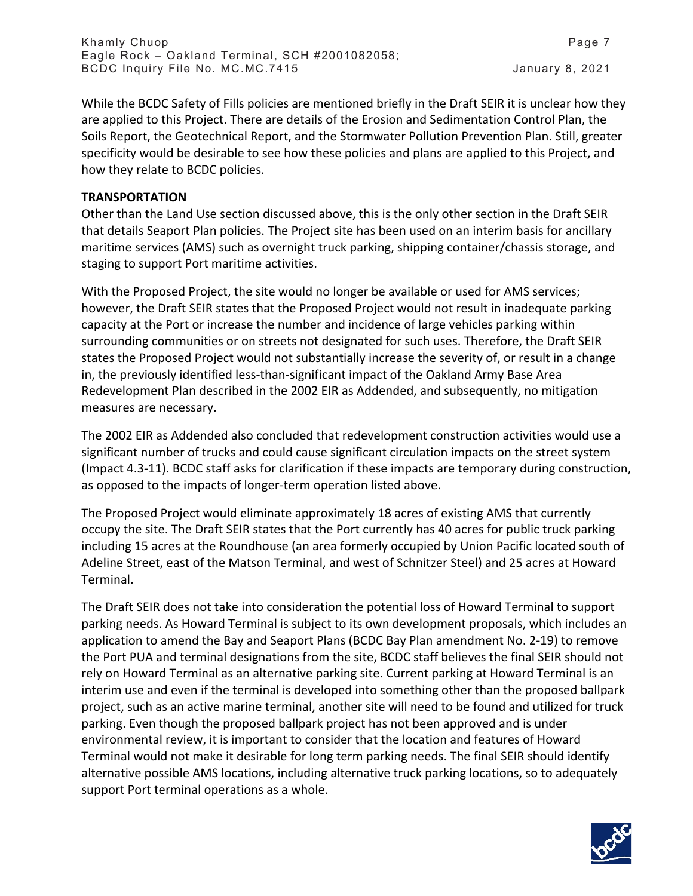While the BCDC Safety of Fills policies are mentioned briefly in the Draft SEIR it is unclear how they are applied to this Project. There are details of the Erosion and Sedimentation Control Plan, the Soils Report, the Geotechnical Report, and the Stormwater Pollution Prevention Plan. Still, greater specificity would be desirable to see how these policies and plans are applied to this Project, and how they relate to BCDC policies.

#### **TRANSPORTATION**

Other than the Land Use section discussed above, this is the only other section in the Draft SEIR that details Seaport Plan policies. The Project site has been used on an interim basis for ancillary maritime services (AMS) such as overnight truck parking, shipping container/chassis storage, and staging to support Port maritime activities.

With the Proposed Project, the site would no longer be available or used for AMS services; however, the Draft SEIR states that the Proposed Project would not result in inadequate parking capacity at the Port or increase the number and incidence of large vehicles parking within surrounding communities or on streets not designated for such uses. Therefore, the Draft SEIR states the Proposed Project would not substantially increase the severity of, or result in a change in, the previously identified less-than-significant impact of the Oakland Army Base Area Redevelopment Plan described in the 2002 EIR as Addended, and subsequently, no mitigation measures are necessary.

The 2002 EIR as Addended also concluded that redevelopment construction activities would use a significant number of trucks and could cause significant circulation impacts on the street system (Impact 4.3-11). BCDC staff asks for clarification if these impacts are temporary during construction, as opposed to the impacts of longer-term operation listed above.

The Proposed Project would eliminate approximately 18 acres of existing AMS that currently occupy the site. The Draft SEIR states that the Port currently has 40 acres for public truck parking including 15 acres at the Roundhouse (an area formerly occupied by Union Pacific located south of Adeline Street, east of the Matson Terminal, and west of Schnitzer Steel) and 25 acres at Howard Terminal.

The Draft SEIR does not take into consideration the potential loss of Howard Terminal to support parking needs. As Howard Terminal is subject to its own development proposals, which includes an application to amend the Bay and Seaport Plans (BCDC Bay Plan amendment No. 2-19) to remove the Port PUA and terminal designations from the site, BCDC staff believes the final SEIR should not rely on Howard Terminal as an alternative parking site. Current parking at Howard Terminal is an interim use and even if the terminal is developed into something other than the proposed ballpark project, such as an active marine terminal, another site will need to be found and utilized for truck parking. Even though the proposed ballpark project has not been approved and is under environmental review, it is important to consider that the location and features of Howard Terminal would not make it desirable for long term parking needs. The final SEIR should identify alternative possible AMS locations, including alternative truck parking locations, so to adequately support Port terminal operations as a whole.

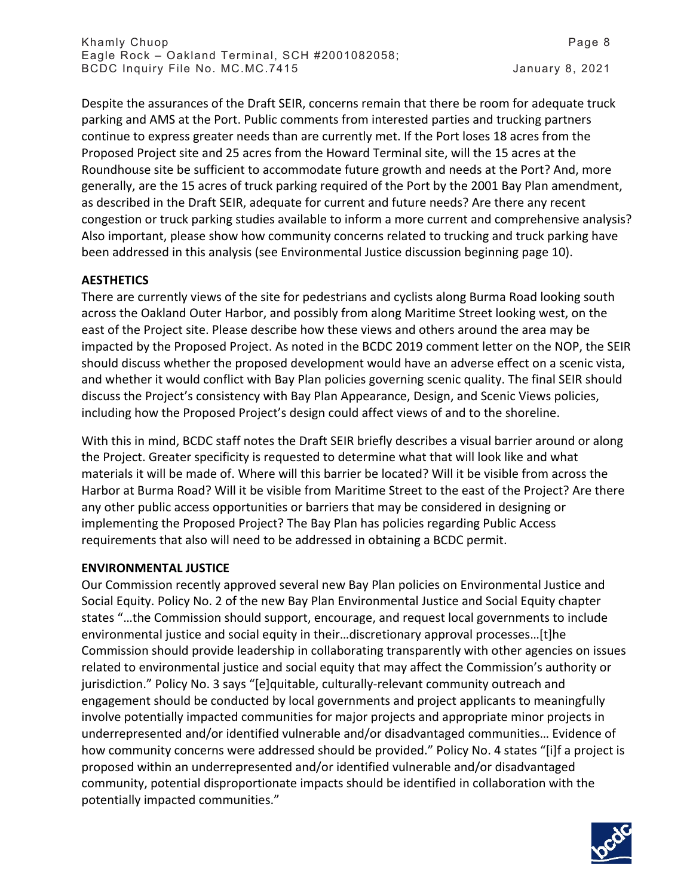Despite the assurances of the Draft SEIR, concerns remain that there be room for adequate truck parking and AMS at the Port. Public comments from interested parties and trucking partners continue to express greater needs than are currently met. If the Port loses 18 acres from the Proposed Project site and 25 acres from the Howard Terminal site, will the 15 acres at the Roundhouse site be sufficient to accommodate future growth and needs at the Port? And, more generally, are the 15 acres of truck parking required of the Port by the 2001 Bay Plan amendment, as described in the Draft SEIR, adequate for current and future needs? Are there any recent congestion or truck parking studies available to inform a more current and comprehensive analysis? Also important, please show how community concerns related to trucking and truck parking have been addressed in this analysis (see Environmental Justice discussion beginning page 10).

## **AESTHETICS**

There are currently views of the site for pedestrians and cyclists along Burma Road looking south across the Oakland Outer Harbor, and possibly from along Maritime Street looking west, on the east of the Project site. Please describe how these views and others around the area may be impacted by the Proposed Project. As noted in the BCDC 2019 comment letter on the NOP, the SEIR should discuss whether the proposed development would have an adverse effect on a scenic vista, and whether it would conflict with Bay Plan policies governing scenic quality. The final SEIR should discuss the Project's consistency with Bay Plan Appearance, Design, and Scenic Views policies, including how the Proposed Project's design could affect views of and to the shoreline.

With this in mind, BCDC staff notes the Draft SEIR briefly describes a visual barrier around or along the Project. Greater specificity is requested to determine what that will look like and what materials it will be made of. Where will this barrier be located? Will it be visible from across the Harbor at Burma Road? Will it be visible from Maritime Street to the east of the Project? Are there any other public access opportunities or barriers that may be considered in designing or implementing the Proposed Project? The Bay Plan has policies regarding Public Access requirements that also will need to be addressed in obtaining a BCDC permit.

## **ENVIRONMENTAL JUSTICE**

Our Commission recently approved several new Bay Plan policies on Environmental Justice and Social Equity. Policy No. 2 of the new Bay Plan Environmental Justice and Social Equity chapter states "…the Commission should support, encourage, and request local governments to include environmental justice and social equity in their…discretionary approval processes…[t]he Commission should provide leadership in collaborating transparently with other agencies on issues related to environmental justice and social equity that may affect the Commission's authority or jurisdiction." Policy No. 3 says "[e]quitable, culturally-relevant community outreach and engagement should be conducted by local governments and project applicants to meaningfully involve potentially impacted communities for major projects and appropriate minor projects in underrepresented and/or identified vulnerable and/or disadvantaged communities… Evidence of how community concerns were addressed should be provided." Policy No. 4 states "[i]f a project is proposed within an underrepresented and/or identified vulnerable and/or disadvantaged community, potential disproportionate impacts should be identified in collaboration with the potentially impacted communities."

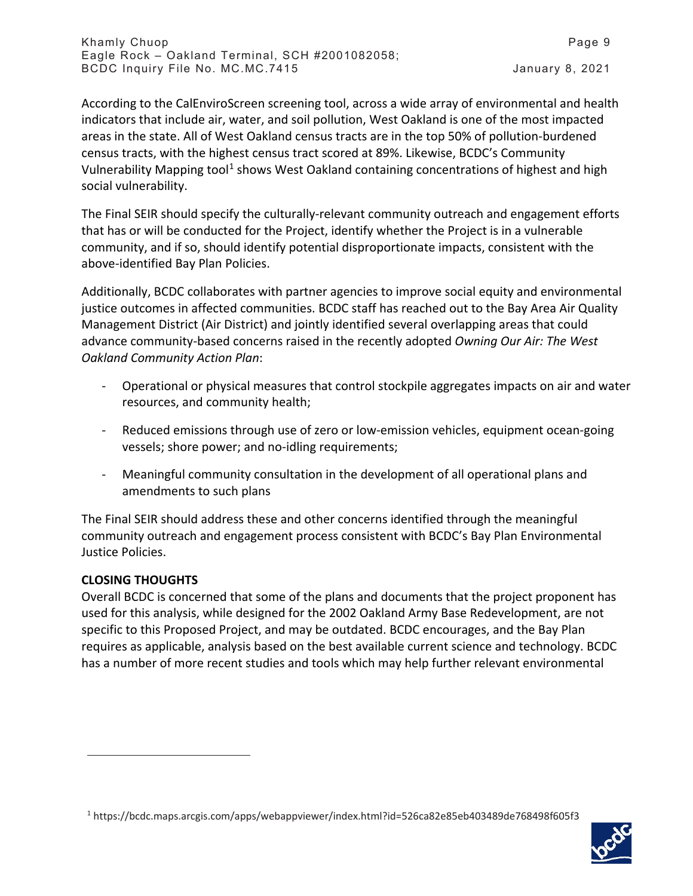According to the CalEnviroScreen screening tool, across a wide array of environmental and health indicators that include air, water, and soil pollution, West Oakland is one of the most impacted areas in the state. All of West Oakland census tracts are in the top 50% of pollution-burdened census tracts, with the highest census tract scored at 89%. Likewise, BCDC's Community Vulnerability Mapping tool<sup>[1](#page-8-0)</sup> shows West Oakland containing concentrations of highest and high social vulnerability.

The Final SEIR should specify the culturally-relevant community outreach and engagement efforts that has or will be conducted for the Project, identify whether the Project is in a vulnerable community, and if so, should identify potential disproportionate impacts, consistent with the above-identified Bay Plan Policies.

Additionally, BCDC collaborates with partner agencies to improve social equity and environmental justice outcomes in affected communities. BCDC staff has reached out to the Bay Area Air Quality Management District (Air District) and jointly identified several overlapping areas that could advance community-based concerns raised in the recently adopted *Owning Our Air: The West Oakland Community Action Plan*:

- Operational or physical measures that control stockpile aggregates impacts on air and water resources, and community health;
- Reduced emissions through use of zero or low-emission vehicles, equipment ocean-going vessels; shore power; and no-idling requirements;
- Meaningful community consultation in the development of all operational plans and amendments to such plans

The Final SEIR should address these and other concerns identified through the meaningful community outreach and engagement process consistent with BCDC's Bay Plan Environmental Justice Policies.

## **CLOSING THOUGHTS**

Overall BCDC is concerned that some of the plans and documents that the project proponent has used for this analysis, while designed for the 2002 Oakland Army Base Redevelopment, are not specific to this Proposed Project, and may be outdated. BCDC encourages, and the Bay Plan requires as applicable, analysis based on the best available current science and technology. BCDC has a number of more recent studies and tools which may help further relevant environmental

<span id="page-8-0"></span><sup>1</sup> https://bcdc.maps.arcgis.com/apps/webappviewer/index.html?id=526ca82e85eb403489de768498f605f3